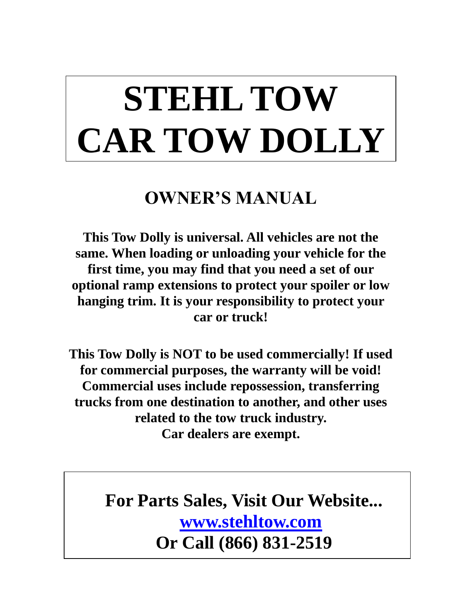# **STEHL TOW CAR TOW DOLLY**

# **OWNER'S MANUAL**

**This Tow Dolly is universal. All vehicles are not the same. When loading or unloading your vehicle for the first time, you may find that you need a set of our optional ramp extensions to protect your spoiler or low hanging trim. It is your responsibility to protect your car or truck!**

**This Tow Dolly is NOT to be used commercially! If used for commercial purposes, the warranty will be void! Commercial uses include repossession, transferring trucks from one destination to another, and other uses related to the tow truck industry. Car dealers are exempt.**

> **For Parts Sales, Visit Our Website... [www.stehltow.com](http://www.stehltow.com/) Or Call (866) 831-2519**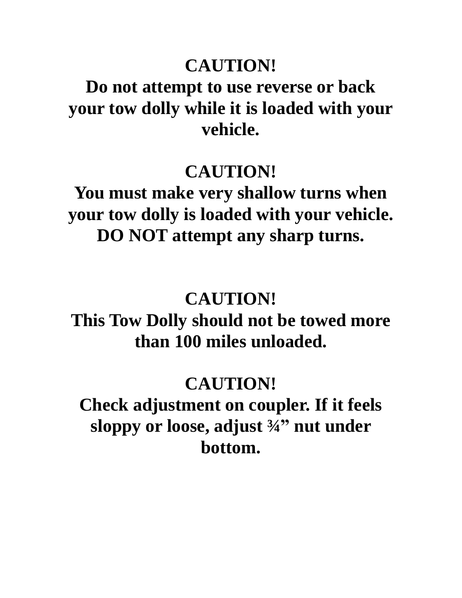# **CAUTION!**

# **Do not attempt to use reverse or back your tow dolly while it is loaded with your vehicle.**

## **CAUTION!**

**You must make very shallow turns when your tow dolly is loaded with your vehicle. DO NOT attempt any sharp turns.**

# **CAUTION!**

**This Tow Dolly should not be towed more than 100 miles unloaded.**

# **CAUTION!**

**Check adjustment on coupler. If it feels sloppy or loose, adjust ¾" nut under bottom.**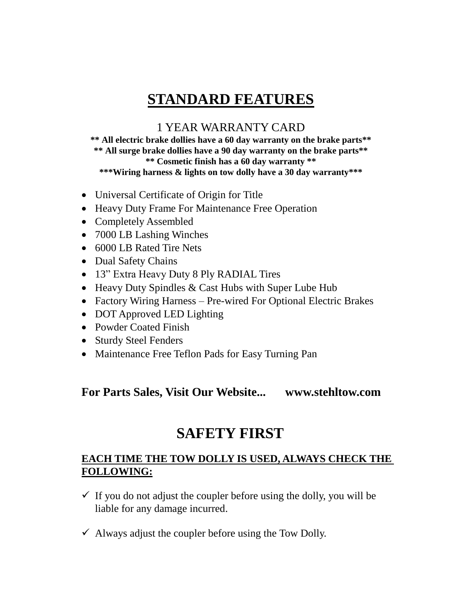## **STANDARD FEATURES**

### 1 YEAR WARRANTY CARD

**\*\* All electric brake dollies have a 60 day warranty on the brake parts\*\* \*\* All surge brake dollies have a 90 day warranty on the brake parts\*\* \*\* Cosmetic finish has a 60 day warranty \*\* \*\*\*Wiring harness & lights on tow dolly have a 30 day warranty\*\*\***

- Universal Certificate of Origin for Title
- Heavy Duty Frame For Maintenance Free Operation
- Completely Assembled
- 7000 LB Lashing Winches
- 6000 LB Rated Tire Nets
- Dual Safety Chains
- 13" Extra Heavy Duty 8 Ply RADIAL Tires
- Heavy Duty Spindles & Cast Hubs with Super Lube Hub
- Factory Wiring Harness Pre-wired For Optional Electric Brakes
- DOT Approved LED Lighting
- Powder Coated Finish
- Sturdy Steel Fenders
- Maintenance Free Teflon Pads for Easy Turning Pan

#### **For Parts Sales, Visit Our Website... www.stehltow.com**

## **SAFETY FIRST**

#### **EACH TIME THE TOW DOLLY IS USED, ALWAYS CHECK THE FOLLOWING:**

- $\checkmark$  If you do not adjust the coupler before using the dolly, you will be liable for any damage incurred.
- $\checkmark$  Always adjust the coupler before using the Tow Dolly.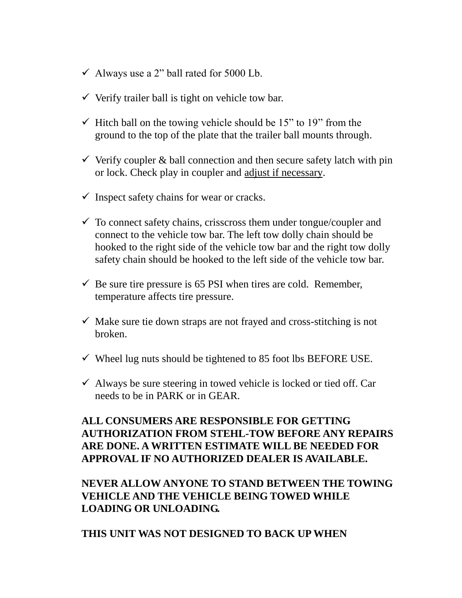- $\checkmark$  Always use a 2" ball rated for 5000 Lb.
- $\checkmark$  Verify trailer ball is tight on vehicle tow bar.
- $\checkmark$  Hitch ball on the towing vehicle should be 15" to 19" from the ground to the top of the plate that the trailer ball mounts through.
- $\checkmark$  Verify coupler & ball connection and then secure safety latch with pin or lock. Check play in coupler and adjust if necessary.
- $\checkmark$  Inspect safety chains for wear or cracks.
- $\checkmark$  To connect safety chains, crisscross them under tongue/coupler and connect to the vehicle tow bar. The left tow dolly chain should be hooked to the right side of the vehicle tow bar and the right tow dolly safety chain should be hooked to the left side of the vehicle tow bar.
- $\checkmark$  Be sure tire pressure is 65 PSI when tires are cold. Remember, temperature affects tire pressure.
- $\checkmark$  Make sure tie down straps are not frayed and cross-stitching is not broken.
- $\checkmark$  Wheel lug nuts should be tightened to 85 foot lbs BEFORE USE.
- $\checkmark$  Always be sure steering in towed vehicle is locked or tied off. Car needs to be in PARK or in GEAR.

#### **ALL CONSUMERS ARE RESPONSIBLE FOR GETTING AUTHORIZATION FROM STEHL-TOW BEFORE ANY REPAIRS ARE DONE. A WRITTEN ESTIMATE WILL BE NEEDED FOR APPROVAL IF NO AUTHORIZED DEALER IS AVAILABLE.**

#### **NEVER ALLOW ANYONE TO STAND BETWEEN THE TOWING VEHICLE AND THE VEHICLE BEING TOWED WHILE LOADING OR UNLOADING.**

#### **THIS UNIT WAS NOT DESIGNED TO BACK UP WHEN**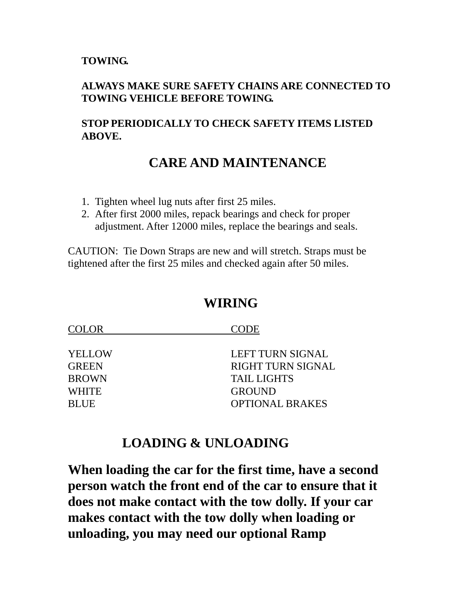#### **TOWING.**

#### **ALWAYS MAKE SURE SAFETY CHAINS ARE CONNECTED TO TOWING VEHICLE BEFORE TOWING.**

#### **STOP PERIODICALLY TO CHECK SAFETY ITEMS LISTED ABOVE.**

## **CARE AND MAINTENANCE**

- 1. Tighten wheel lug nuts after first 25 miles.
- 2. After first 2000 miles, repack bearings and check for proper adjustment. After 12000 miles, replace the bearings and seals.

CAUTION: Tie Down Straps are new and will stretch. Straps must be tightened after the first 25 miles and checked again after 50 miles.

## **WIRING**

| CODE                     |
|--------------------------|
| <b>LEFT TURN SIGNAL</b>  |
| <b>RIGHT TURN SIGNAL</b> |
| <b>TAIL LIGHTS</b>       |
| <b>GROUND</b>            |
| <b>OPTIONAL BRAKES</b>   |
|                          |

## **LOADING & UNLOADING**

**When loading the car for the first time, have a second person watch the front end of the car to ensure that it does not make contact with the tow dolly. If your car makes contact with the tow dolly when loading or unloading, you may need our optional Ramp**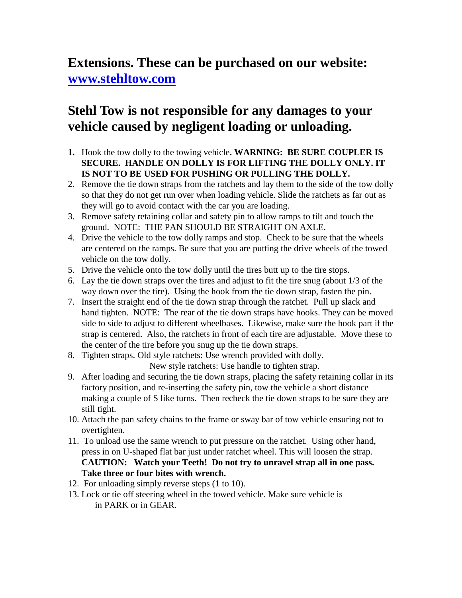## **Extensions. These can be purchased on our website: [www.stehltow.com](http://www.stehltow.com/)**

## **Stehl Tow is not responsible for any damages to your vehicle caused by negligent loading or unloading.**

- **1.** Hook the tow dolly to the towing vehicle**. WARNING: BE SURE COUPLER IS SECURE. HANDLE ON DOLLY IS FOR LIFTING THE DOLLY ONLY. IT IS NOT TO BE USED FOR PUSHING OR PULLING THE DOLLY.**
- 2. Remove the tie down straps from the ratchets and lay them to the side of the tow dolly so that they do not get run over when loading vehicle. Slide the ratchets as far out as they will go to avoid contact with the car you are loading.
- 3. Remove safety retaining collar and safety pin to allow ramps to tilt and touch the ground. NOTE: THE PAN SHOULD BE STRAIGHT ON AXLE.
- 4. Drive the vehicle to the tow dolly ramps and stop. Check to be sure that the wheels are centered on the ramps. Be sure that you are putting the drive wheels of the towed vehicle on the tow dolly.
- 5. Drive the vehicle onto the tow dolly until the tires butt up to the tire stops.
- 6. Lay the tie down straps over the tires and adjust to fit the tire snug (about 1/3 of the way down over the tire). Using the hook from the tie down strap, fasten the pin.
- 7. Insert the straight end of the tie down strap through the ratchet. Pull up slack and hand tighten. NOTE: The rear of the tie down straps have hooks. They can be moved side to side to adjust to different wheelbases. Likewise, make sure the hook part if the strap is centered. Also, the ratchets in front of each tire are adjustable. Move these to the center of the tire before you snug up the tie down straps.
- 8. Tighten straps. Old style ratchets: Use wrench provided with dolly.

New style ratchets: Use handle to tighten strap.

- 9. After loading and securing the tie down straps, placing the safety retaining collar in its factory position, and re-inserting the safety pin, tow the vehicle a short distance making a couple of S like turns. Then recheck the tie down straps to be sure they are still tight.
- 10. Attach the pan safety chains to the frame or sway bar of tow vehicle ensuring not to overtighten.
- 11. To unload use the same wrench to put pressure on the ratchet. Using other hand, press in on U-shaped flat bar just under ratchet wheel. This will loosen the strap. **CAUTION: Watch your Teeth! Do not try to unravel strap all in one pass. Take three or four bites with wrench.**
- 12. For unloading simply reverse steps (1 to 10).
- 13. Lock or tie off steering wheel in the towed vehicle. Make sure vehicle is in PARK or in GEAR.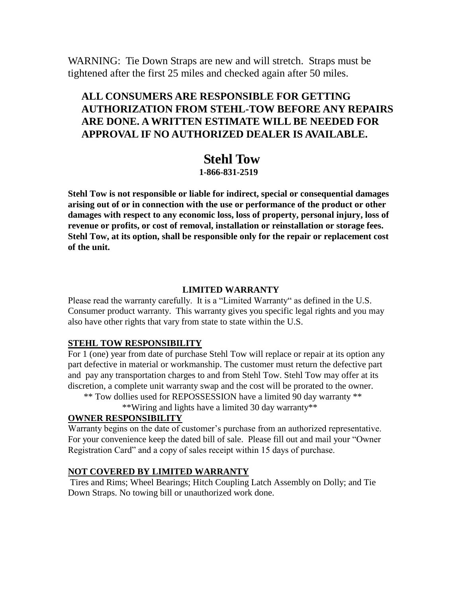WARNING: Tie Down Straps are new and will stretch. Straps must be tightened after the first 25 miles and checked again after 50 miles.

#### **ALL CONSUMERS ARE RESPONSIBLE FOR GETTING AUTHORIZATION FROM STEHL-TOW BEFORE ANY REPAIRS ARE DONE. A WRITTEN ESTIMATE WILL BE NEEDED FOR APPROVAL IF NO AUTHORIZED DEALER IS AVAILABLE.**

#### **Stehl Tow 1-866-831-2519**

**Stehl Tow is not responsible or liable for indirect, special or consequential damages arising out of or in connection with the use or performance of the product or other damages with respect to any economic loss, loss of property, personal injury, loss of revenue or profits, or cost of removal, installation or reinstallation or storage fees. Stehl Tow, at its option, shall be responsible only for the repair or replacement cost of the unit.**

#### **LIMITED WARRANTY**

Please read the warranty carefully. It is a "Limited Warranty" as defined in the U.S. Consumer product warranty. This warranty gives you specific legal rights and you may also have other rights that vary from state to state within the U.S.

#### **STEHL TOW RESPONSIBILITY**

For 1 (one) year from date of purchase Stehl Tow will replace or repair at its option any part defective in material or workmanship. The customer must return the defective part and pay any transportation charges to and from Stehl Tow. Stehl Tow may offer at its discretion, a complete unit warranty swap and the cost will be prorated to the owner.

\*\* Tow dollies used for REPOSSESSION have a limited 90 day warranty \*\*

\*\*Wiring and lights have a limited 30 day warranty\*\*

#### **OWNER RESPONSIBILITY**

Warranty begins on the date of customer's purchase from an authorized representative. For your convenience keep the dated bill of sale. Please fill out and mail your "Owner Registration Card" and a copy of sales receipt within 15 days of purchase.

#### **NOT COVERED BY LIMITED WARRANTY**

Tires and Rims; Wheel Bearings; Hitch Coupling Latch Assembly on Dolly; and Tie Down Straps. No towing bill or unauthorized work done.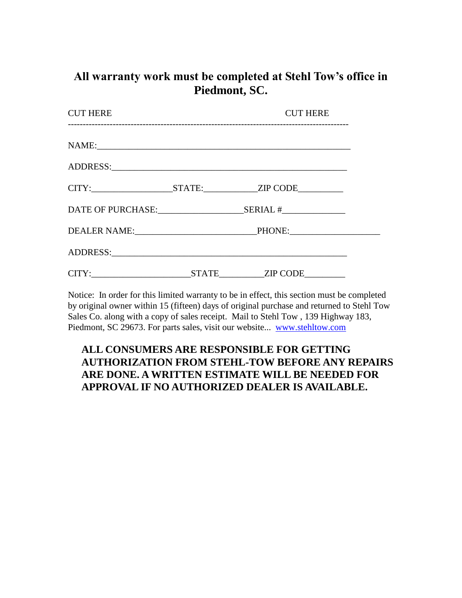## **All warranty work must be completed at Stehl Tow's office in Piedmont, SC.**

| <b>CUT HERE</b>   |  |                                                                                  |  |
|-------------------|--|----------------------------------------------------------------------------------|--|
|                   |  |                                                                                  |  |
|                   |  |                                                                                  |  |
|                   |  | CITY:___________________________STATE:________________ZIP CODE__________________ |  |
| DATE OF PURCHASE: |  | SERIAL #                                                                         |  |
|                   |  |                                                                                  |  |
|                   |  |                                                                                  |  |
|                   |  |                                                                                  |  |

Notice: In order for this limited warranty to be in effect, this section must be completed by original owner within 15 (fifteen) days of original purchase and returned to Stehl Tow Sales Co. along with a copy of sales receipt. Mail to Stehl Tow , 139 Highway 183, Piedmont, SC 29673. For parts sales, visit our website... [www.stehltow.com](http://www.stehltow.com/)

#### **ALL CONSUMERS ARE RESPONSIBLE FOR GETTING AUTHORIZATION FROM STEHL-TOW BEFORE ANY REPAIRS ARE DONE. A WRITTEN ESTIMATE WILL BE NEEDED FOR APPROVAL IF NO AUTHORIZED DEALER IS AVAILABLE.**